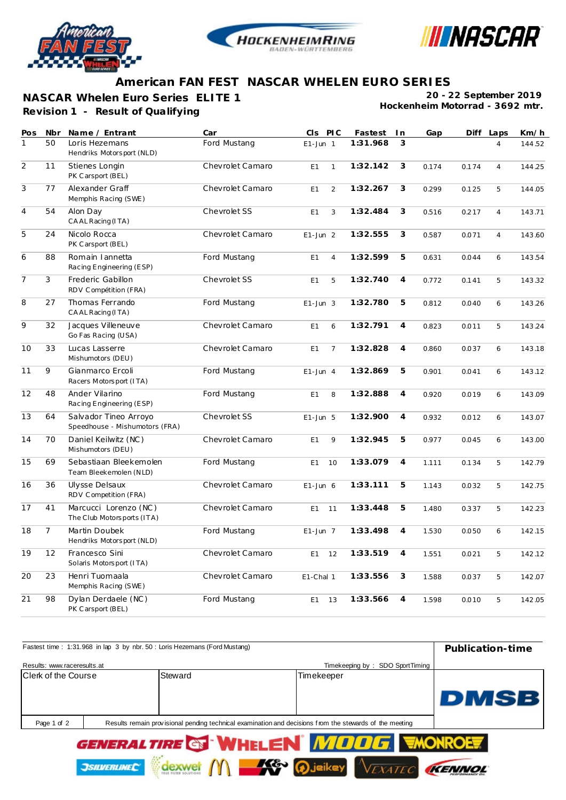





## **American FAN FEST NASCAR WHELEN EURO SERIES**

**Revision 1 - Result of Qualifying NASCAR Whelen Euro Series ELITE 1**

**20 - 22 September 2019 Hockenheim Motorrad - 3692 mtr.**

| Pos            | Nbr            | Name / Entrant                                          | Car              | CIS PIC                          | Fastest  | In             | Gap   | Diff  | Laps           | Km/h   |
|----------------|----------------|---------------------------------------------------------|------------------|----------------------------------|----------|----------------|-------|-------|----------------|--------|
| $\mathbf{1}$   | 50             | Loris Hezemans<br>Hendriks Motorsport (NLD)             | Ford Mustang     | $E1$ -Jun 1                      | 1:31.968 | 3              |       |       | 4              | 144.52 |
| $\overline{2}$ | 11             | Stienes Longin<br>PK Carsport (BEL)                     | Chevrolet Camaro | E1<br>$\mathbf{1}$               | 1:32.142 | 3              | 0.174 | 0.174 | $\overline{4}$ | 144.25 |
| $\overline{3}$ | 77             | Alexander Graff<br>Memphis Racing (SWE)                 | Chevrolet Camaro | $\overline{2}$<br>E1             | 1:32.267 | 3              | 0.299 | 0.125 | 5              | 144.05 |
| $\overline{4}$ | 54             | Alon Day<br>CAAL Racing (ITA)                           | Chevrolet SS     | 3<br>E1                          | 1:32.484 | 3              | 0.516 | 0.217 | $\overline{4}$ | 143.71 |
| 5              | 24             | Nicolo Rocca<br>PK Carsport (BEL)                       | Chevrolet Camaro | $E1$ -Jun 2                      | 1:32.555 | 3              | 0.587 | 0.071 | $\overline{4}$ | 143.60 |
| 6              | 88             | Romain Iannetta<br>Racing Engineering (ESP)             | Ford Mustang     | E1<br>$\overline{4}$             | 1:32.599 | 5              | 0.631 | 0.044 | 6              | 143.54 |
| $\overline{7}$ | 3              | Frederic Gabillon<br>RDV Compétition (FRA)              | Chevrolet SS     | 5<br>E1                          | 1:32.740 | $\overline{4}$ | 0.772 | 0.141 | 5              | 143.32 |
| 8              | 27             | Thomas Ferrando<br>CAAL Racing (ITA)                    | Ford Mustang     | $E1$ -Jun 3                      | 1:32.780 | 5              | 0.812 | 0.040 | 6              | 143.26 |
| 9              | 32             | Jacques Villeneuve<br>Go Fas Racing (USA)               | Chevrolet Camaro | E1<br>6                          | 1:32.791 | $\overline{4}$ | 0.823 | 0.011 | 5              | 143.24 |
| 10             | 33             | Lucas Lasserre<br>Mishumotors (DEU)                     | Chevrolet Camaro | E <sub>1</sub><br>$\overline{7}$ | 1:32.828 | $\overline{4}$ | 0.860 | 0.037 | 6              | 143.18 |
| 11             | 9              | Gianmarco Ercoli<br>Racers Motorsport (ITA)             | Ford Mustang     | $E1$ -Jun 4                      | 1:32.869 | $\overline{5}$ | 0.901 | 0.041 | 6              | 143.12 |
| 12             | 48             | Ander Vilarino<br>Racing Engineering (ESP)              | Ford Mustang     | E1<br>8                          | 1:32.888 | $\overline{4}$ | 0.920 | 0.019 | 6              | 143.09 |
| 13             | 64             | Salvador Tineo Arroyo<br>Speedhouse - Mishumotors (FRA) | Chevrolet SS     | $E1$ -Jun 5                      | 1:32.900 | $\overline{4}$ | 0.932 | 0.012 | 6              | 143.07 |
| 14             | 70             | Daniel Keilwitz (NC)<br>Mishumotors (DEU)               | Chevrolet Camaro | E1<br>9                          | 1:32.945 | 5              | 0.977 | 0.045 | 6              | 143.00 |
| 15             | 69             | Sebastiaan Bleekemolen<br>Team Bleekemolen (NLD)        | Ford Mustang     | E <sub>1</sub><br>10             | 1:33.079 | $\overline{4}$ | 1.111 | 0.134 | 5              | 142.79 |
| 16             | 36             | Ulysse Delsaux<br>RDV Competition (FRA)                 | Chevrolet Camaro | $E1$ -Jun 6                      | 1:33.111 | 5              | 1.143 | 0.032 | 5              | 142.75 |
| 17             | 41             | Marcucci Lorenzo (NC)<br>The Club Motorsports (ITA)     | Chevrolet Camaro | E1<br>11                         | 1:33.448 | 5              | 1.480 | 0.337 | 5              | 142.23 |
| 18             | $\overline{7}$ | Martin Doubek<br>Hendriks Motorsport (NLD)              | Ford Mustang     | $E1$ -Jun 7                      | 1:33.498 | $\overline{4}$ | 1.530 | 0.050 | 6              | 142.15 |
| 19             | 12             | Francesco Sini<br>Solaris Motorsport (ITA)              | Chevrolet Camaro | E1<br>12                         | 1:33.519 | $\overline{4}$ | 1.551 | 0.021 | 5              | 142.12 |
| 20             | 23             | Henri Tuomaala<br>Memphis Racing (SWE)                  | Chevrolet Camaro | E1-Chal 1                        | 1:33.556 | 3              | 1.588 | 0.037 | 5              | 142.07 |
| 21             | 98             | Dylan Derdaele (NC)<br>PK Carsport (BEL)                | Ford Mustang     | E1<br>13                         | 1:33.566 | $\overline{4}$ | 1.598 | 0.010 | 5              | 142.05 |

| Fastest time: 1:31.968 in lap 3 by nbr. 50 : Loris Hezemans (Ford Mustang) | Publication-time    |                                                                                                         |                                                                    |             |
|----------------------------------------------------------------------------|---------------------|---------------------------------------------------------------------------------------------------------|--------------------------------------------------------------------|-------------|
| Results: www.raceresults.at                                                |                     |                                                                                                         | Timekeeping by: SDO SportTiming                                    |             |
| Clerk of the Course                                                        |                     | Steward                                                                                                 | Timekeeper                                                         |             |
| Page 1 of 2                                                                |                     | Results remain provisional pending technical examination and decisions from the stewards of the meeting |                                                                    | <b>DMSB</b> |
|                                                                            | <b>JSILVERLINEC</b> |                                                                                                         | GENERALTIRE GEWHELEN MOOG WONROLT<br><b>AG D</b> jeikey<br>Vexatec |             |